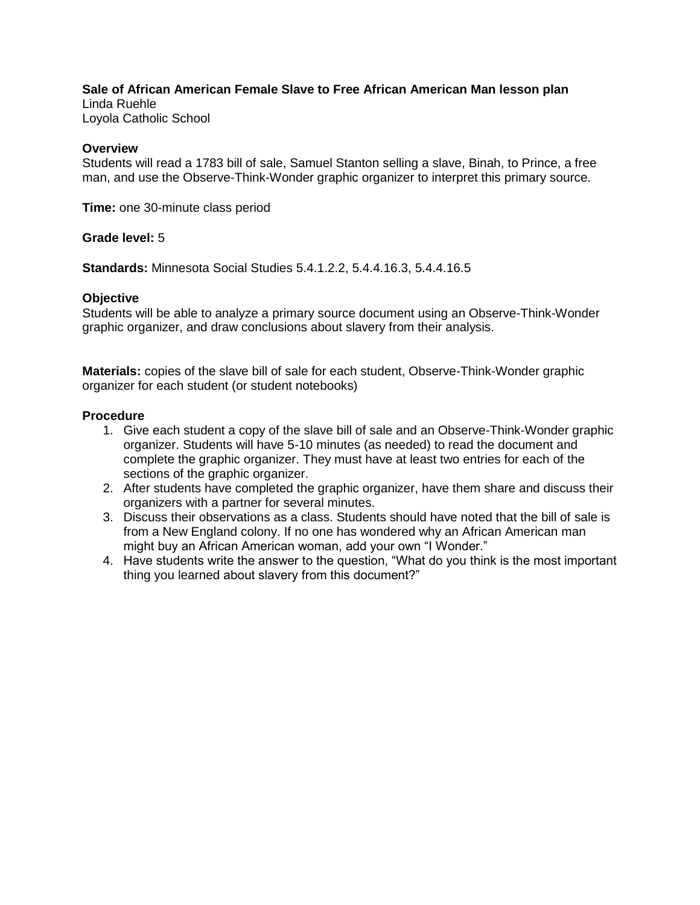# **Sale of African American Female Slave to Free African American Man lesson plan**

Linda Ruehle Loyola Catholic School

## **Overview**

Students will read a 1783 bill of sale, Samuel Stanton selling a slave, Binah, to Prince, a free man, and use the Observe-Think-Wonder graphic organizer to interpret this primary source.

**Time:** one 30-minute class period

## **Grade level:** 5

**Standards:** Minnesota Social Studies 5.4.1.2.2, 5.4.4.16.3, 5.4.4.16.5

#### **Objective**

Students will be able to analyze a primary source document using an Observe-Think-Wonder graphic organizer, and draw conclusions about slavery from their analysis.

**Materials:** copies of the slave bill of sale for each student, Observe-Think-Wonder graphic organizer for each student (or student notebooks)

#### **Procedure**

- 1. Give each student a copy of the slave bill of sale and an Observe-Think-Wonder graphic organizer. Students will have 5-10 minutes (as needed) to read the document and complete the graphic organizer. They must have at least two entries for each of the sections of the graphic organizer.
- 2. After students have completed the graphic organizer, have them share and discuss their organizers with a partner for several minutes.
- 3. Discuss their observations as a class. Students should have noted that the bill of sale is from a New England colony. If no one has wondered why an African American man might buy an African American woman, add your own "I Wonder."
- 4. Have students write the answer to the question, "What do you think is the most important thing you learned about slavery from this document?"